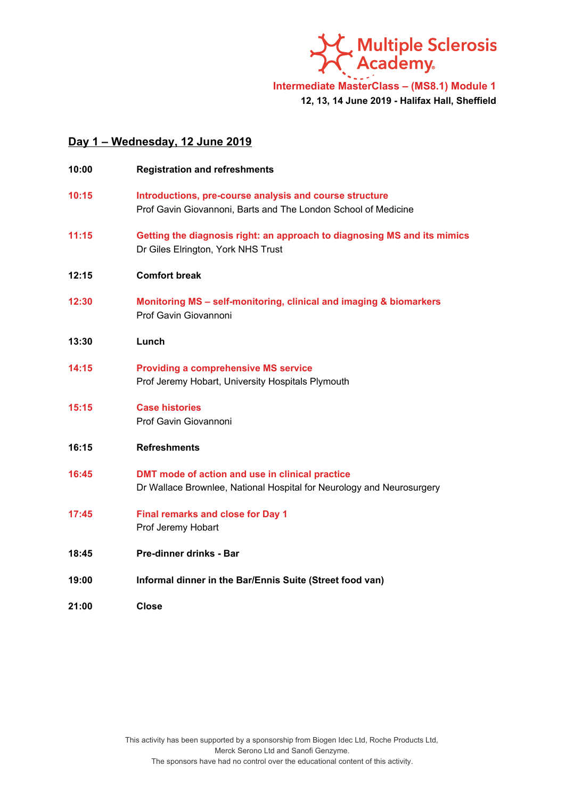

**Intermediate MasterClass – (MS8.1) Module 1 12, 13, 14 June 2019 - Halifax Hall, Sheffield**

## **Day 1 – Wednesday, 12 June 2019**

| 10:00 | <b>Registration and refreshments</b>                                                                                      |
|-------|---------------------------------------------------------------------------------------------------------------------------|
| 10:15 | Introductions, pre-course analysis and course structure<br>Prof Gavin Giovannoni, Barts and The London School of Medicine |
| 11:15 | Getting the diagnosis right: an approach to diagnosing MS and its mimics<br>Dr Giles Elrington, York NHS Trust            |
| 12:15 | <b>Comfort break</b>                                                                                                      |
| 12:30 | Monitoring MS - self-monitoring, clinical and imaging & biomarkers<br>Prof Gavin Giovannoni                               |
| 13:30 | Lunch                                                                                                                     |
| 14:15 | <b>Providing a comprehensive MS service</b><br>Prof Jeremy Hobart, University Hospitals Plymouth                          |
| 15:15 | <b>Case histories</b><br>Prof Gavin Giovannoni                                                                            |
| 16:15 | <b>Refreshments</b>                                                                                                       |
| 16:45 | DMT mode of action and use in clinical practice<br>Dr Wallace Brownlee, National Hospital for Neurology and Neurosurgery  |
| 17:45 | <b>Final remarks and close for Day 1</b><br>Prof Jeremy Hobart                                                            |
| 18:45 | Pre-dinner drinks - Bar                                                                                                   |
| 19:00 | Informal dinner in the Bar/Ennis Suite (Street food van)                                                                  |
| 21:00 | Close                                                                                                                     |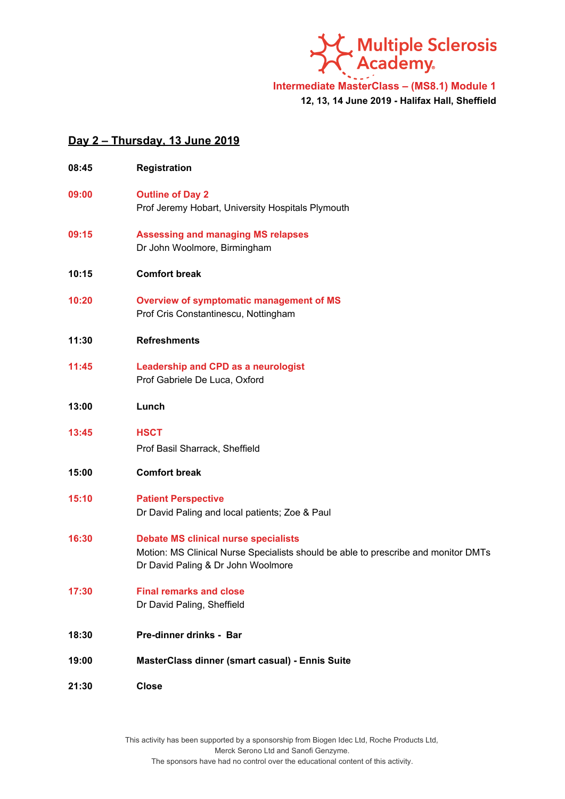し<br>C Multiple Sclerosis<br>C Academy. ×

**Intermediate MasterClass – (MS8.1) Module 1 12, 13, 14 June 2019 - Halifax Hall, Sheffield**

## **Day 2 – Thursday, 13 June 2019**

| 08:45 | <b>Registration</b>                                                                                                                                                     |
|-------|-------------------------------------------------------------------------------------------------------------------------------------------------------------------------|
| 09:00 | <b>Outline of Day 2</b><br>Prof Jeremy Hobart, University Hospitals Plymouth                                                                                            |
| 09:15 | <b>Assessing and managing MS relapses</b><br>Dr John Woolmore, Birmingham                                                                                               |
| 10:15 | <b>Comfort break</b>                                                                                                                                                    |
| 10:20 | Overview of symptomatic management of MS<br>Prof Cris Constantinescu, Nottingham                                                                                        |
| 11:30 | <b>Refreshments</b>                                                                                                                                                     |
| 11:45 | Leadership and CPD as a neurologist<br>Prof Gabriele De Luca, Oxford                                                                                                    |
| 13:00 | Lunch                                                                                                                                                                   |
| 13:45 | <b>HSCT</b><br>Prof Basil Sharrack, Sheffield                                                                                                                           |
| 15:00 | <b>Comfort break</b>                                                                                                                                                    |
| 15:10 | <b>Patient Perspective</b><br>Dr David Paling and local patients; Zoe & Paul                                                                                            |
| 16:30 | <b>Debate MS clinical nurse specialists</b><br>Motion: MS Clinical Nurse Specialists should be able to prescribe and monitor DMTs<br>Dr David Paling & Dr John Woolmore |
| 17:30 | <b>Final remarks and close</b><br>Dr David Paling, Sheffield                                                                                                            |
| 18:30 | Pre-dinner drinks - Bar                                                                                                                                                 |
| 19:00 | MasterClass dinner (smart casual) - Ennis Suite                                                                                                                         |
| 21:30 | <b>Close</b>                                                                                                                                                            |